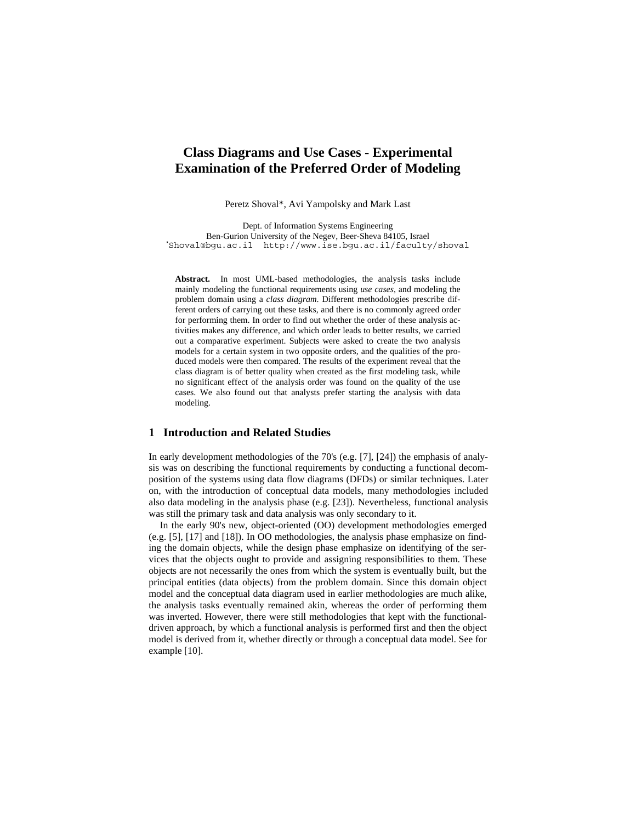# **Class Diagrams and Use Cases - Experimental Examination of the Preferred Order of Modeling**

Peretz Shoval\*, Avi Yampolsky and Mark Last

Dept. of Information Systems Engineering Ben-Gurion University of the Negev, Beer-Sheva 84105, Israel **\*** Shoval@bgu.ac.il http://www.ise.bgu.ac.il/faculty/shoval

**Abstract.** In most UML-based methodologies, the analysis tasks include mainly modeling the functional requirements using *use cases*, and modeling the problem domain using a *class diagram*. Different methodologies prescribe different orders of carrying out these tasks, and there is no commonly agreed order for performing them. In order to find out whether the order of these analysis activities makes any difference, and which order leads to better results, we carried out a comparative experiment. Subjects were asked to create the two analysis models for a certain system in two opposite orders, and the qualities of the produced models were then compared. The results of the experiment reveal that the class diagram is of better quality when created as the first modeling task, while no significant effect of the analysis order was found on the quality of the use cases. We also found out that analysts prefer starting the analysis with data modeling.

### **1 Introduction and Related Studies**

In early development methodologies of the 70's (e.g. [7], [24]) the emphasis of analysis was on describing the functional requirements by conducting a functional decomposition of the systems using data flow diagrams (DFDs) or similar techniques. Later on, with the introduction of conceptual data models, many methodologies included also data modeling in the analysis phase (e.g. [23]). Nevertheless, functional analysis was still the primary task and data analysis was only secondary to it.

In the early 90's new, object-oriented (OO) development methodologies emerged (e.g. [5], [17] and [18]). In OO methodologies, the analysis phase emphasize on finding the domain objects, while the design phase emphasize on identifying of the services that the objects ought to provide and assigning responsibilities to them. These objects are not necessarily the ones from which the system is eventually built, but the principal entities (data objects) from the problem domain. Since this domain object model and the conceptual data diagram used in earlier methodologies are much alike, the analysis tasks eventually remained akin, whereas the order of performing them was inverted. However, there were still methodologies that kept with the functionaldriven approach, by which a functional analysis is performed first and then the object model is derived from it, whether directly or through a conceptual data model. See for example [10].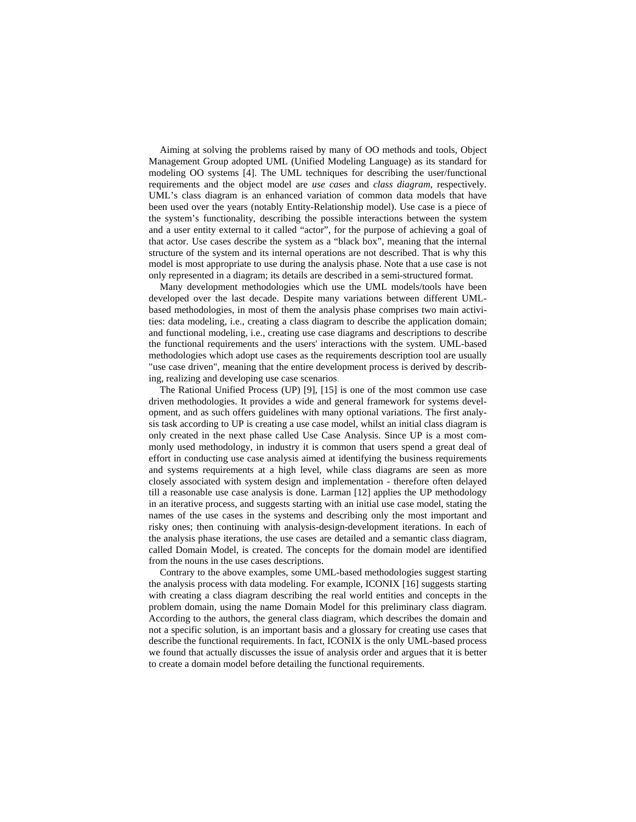Aiming at solving the problems raised by many of OO methods and tools, Object Management Group adopted UML (Unified Modeling Language) as its standard for modeling OO systems [4]. The UML techniques for describing the user/functional requirements and the object model are *use cases* and *class diagram*, respectively. UML's class diagram is an enhanced variation of common data models that have been used over the years (notably Entity-Relationship model). Use case is a piece of the system's functionality, describing the possible interactions between the system and a user entity external to it called "actor", for the purpose of achieving a goal of that actor. Use cases describe the system as a "black box", meaning that the internal structure of the system and its internal operations are not described. That is why this model is most appropriate to use during the analysis phase. Note that a use case is not only represented in a diagram; its details are described in a semi-structured format.

Many development methodologies which use the UML models/tools have been developed over the last decade. Despite many variations between different UMLbased methodologies, in most of them the analysis phase comprises two main activities: data modeling, i.e., creating a class diagram to describe the application domain; and functional modeling, i.e., creating use case diagrams and descriptions to describe the functional requirements and the users' interactions with the system. UML-based methodologies which adopt use cases as the requirements description tool are usually "use case driven", meaning that the entire development process is derived by describing, realizing and developing use case scenarios.

The Rational Unified Process (UP) [9], [15] is one of the most common use case driven methodologies. It provides a wide and general framework for systems development, and as such offers guidelines with many optional variations. The first analysis task according to UP is creating a use case model, whilst an initial class diagram is only created in the next phase called Use Case Analysis. Since UP is a most commonly used methodology, in industry it is common that users spend a great deal of effort in conducting use case analysis aimed at identifying the business requirements and systems requirements at a high level, while class diagrams are seen as more closely associated with system design and implementation - therefore often delayed till a reasonable use case analysis is done. Larman [12] applies the UP methodology in an iterative process, and suggests starting with an initial use case model, stating the names of the use cases in the systems and describing only the most important and risky ones; then continuing with analysis-design-development iterations. In each of the analysis phase iterations, the use cases are detailed and a semantic class diagram, called Domain Model, is created. The concepts for the domain model are identified from the nouns in the use cases descriptions.

Contrary to the above examples, some UML-based methodologies suggest starting the analysis process with data modeling. For example, ICONIX [16] suggests starting with creating a class diagram describing the real world entities and concepts in the problem domain, using the name Domain Model for this preliminary class diagram. According to the authors, the general class diagram, which describes the domain and not a specific solution, is an important basis and a glossary for creating use cases that describe the functional requirements. In fact, ICONIX is the only UML-based process we found that actually discusses the issue of analysis order and argues that it is better to create a domain model before detailing the functional requirements.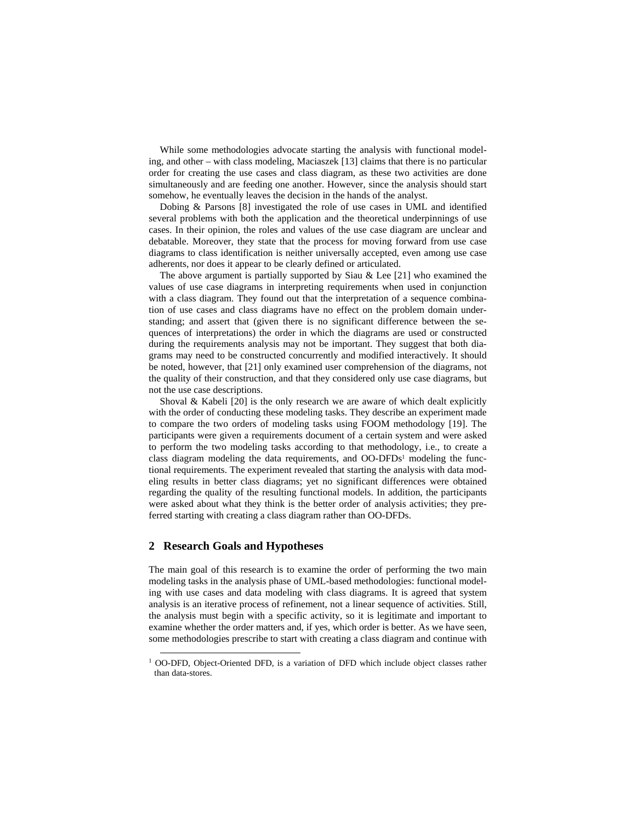While some methodologies advocate starting the analysis with functional modeling, and other – with class modeling, Maciaszek [13] claims that there is no particular order for creating the use cases and class diagram, as these two activities are done simultaneously and are feeding one another. However, since the analysis should start somehow, he eventually leaves the decision in the hands of the analyst.

Dobing & Parsons [8] investigated the role of use cases in UML and identified several problems with both the application and the theoretical underpinnings of use cases. In their opinion, the roles and values of the use case diagram are unclear and debatable. Moreover, they state that the process for moving forward from use case diagrams to class identification is neither universally accepted, even among use case adherents, nor does it appear to be clearly defined or articulated.

The above argument is partially supported by Siau  $\&$  Lee [21] who examined the values of use case diagrams in interpreting requirements when used in conjunction with a class diagram. They found out that the interpretation of a sequence combination of use cases and class diagrams have no effect on the problem domain understanding; and assert that (given there is no significant difference between the sequences of interpretations) the order in which the diagrams are used or constructed during the requirements analysis may not be important. They suggest that both diagrams may need to be constructed concurrently and modified interactively. It should be noted, however, that [21] only examined user comprehension of the diagrams, not the quality of their construction, and that they considered only use case diagrams, but not the use case descriptions.

Shoval  $\&$  Kabeli [20] is the only research we are aware of which dealt explicitly with the order of conducting these modeling tasks. They describe an experiment made to compare the two orders of modeling tasks using FOOM methodology [19]. The participants were given a requirements document of a certain system and were asked to perform the two modeling tasks according to that methodology, i.e., to create a class diagram modeling the data requirements, and OO-DFDs<sup>1</sup> modeling the functional requirements. The experiment revealed that starting the analysis with data modeling results in better class diagrams; yet no significant differences were obtained regarding the quality of the resulting functional models. In addition, the participants were asked about what they think is the better order of analysis activities; they preferred starting with creating a class diagram rather than OO-DFDs.

#### **2 Research Goals and Hypotheses**

The main goal of this research is to examine the order of performing the two main modeling tasks in the analysis phase of UML-based methodologies: functional modeling with use cases and data modeling with class diagrams. It is agreed that system analysis is an iterative process of refinement, not a linear sequence of activities. Still, the analysis must begin with a specific activity, so it is legitimate and important to examine whether the order matters and, if yes, which order is better. As we have seen, some methodologies prescribe to start with creating a class diagram and continue with

 <sup>1</sup> OO-DFD, Object-Oriented DFD, is a variation of DFD which include object classes rather than data-stores.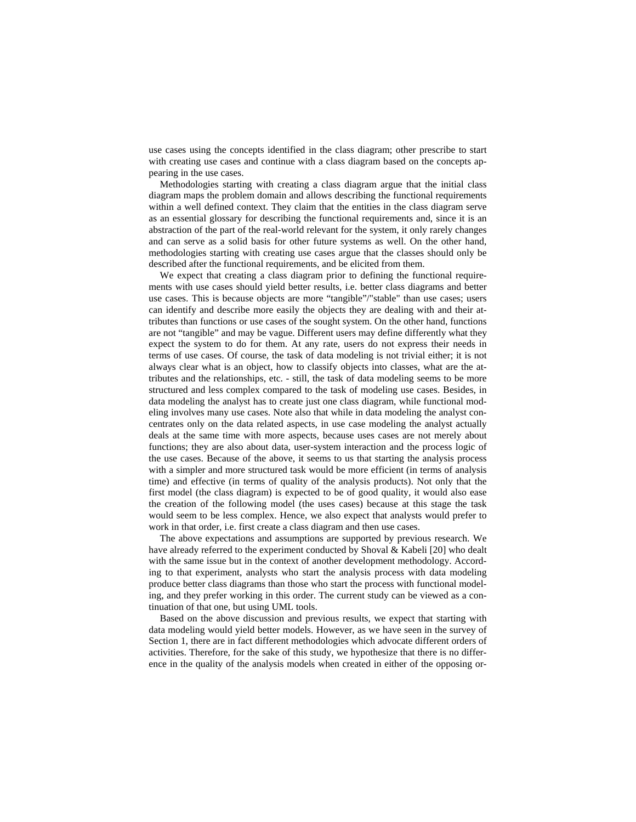use cases using the concepts identified in the class diagram; other prescribe to start with creating use cases and continue with a class diagram based on the concepts appearing in the use cases.

Methodologies starting with creating a class diagram argue that the initial class diagram maps the problem domain and allows describing the functional requirements within a well defined context. They claim that the entities in the class diagram serve as an essential glossary for describing the functional requirements and, since it is an abstraction of the part of the real-world relevant for the system, it only rarely changes and can serve as a solid basis for other future systems as well. On the other hand, methodologies starting with creating use cases argue that the classes should only be described after the functional requirements, and be elicited from them.

We expect that creating a class diagram prior to defining the functional requirements with use cases should yield better results, i.e. better class diagrams and better use cases. This is because objects are more "tangible"/"stable" than use cases; users can identify and describe more easily the objects they are dealing with and their attributes than functions or use cases of the sought system. On the other hand, functions are not "tangible" and may be vague. Different users may define differently what they expect the system to do for them. At any rate, users do not express their needs in terms of use cases. Of course, the task of data modeling is not trivial either; it is not always clear what is an object, how to classify objects into classes, what are the attributes and the relationships, etc. - still, the task of data modeling seems to be more structured and less complex compared to the task of modeling use cases. Besides, in data modeling the analyst has to create just one class diagram, while functional modeling involves many use cases. Note also that while in data modeling the analyst concentrates only on the data related aspects, in use case modeling the analyst actually deals at the same time with more aspects, because uses cases are not merely about functions; they are also about data, user-system interaction and the process logic of the use cases. Because of the above, it seems to us that starting the analysis process with a simpler and more structured task would be more efficient (in terms of analysis time) and effective (in terms of quality of the analysis products). Not only that the first model (the class diagram) is expected to be of good quality, it would also ease the creation of the following model (the uses cases) because at this stage the task would seem to be less complex. Hence, we also expect that analysts would prefer to work in that order, i.e. first create a class diagram and then use cases.

The above expectations and assumptions are supported by previous research. We have already referred to the experiment conducted by Shoval & Kabeli [20] who dealt with the same issue but in the context of another development methodology. According to that experiment, analysts who start the analysis process with data modeling produce better class diagrams than those who start the process with functional modeling, and they prefer working in this order. The current study can be viewed as a continuation of that one, but using UML tools.

Based on the above discussion and previous results, we expect that starting with data modeling would yield better models. However, as we have seen in the survey of Section 1, there are in fact different methodologies which advocate different orders of activities. Therefore, for the sake of this study, we hypothesize that there is no difference in the quality of the analysis models when created in either of the opposing or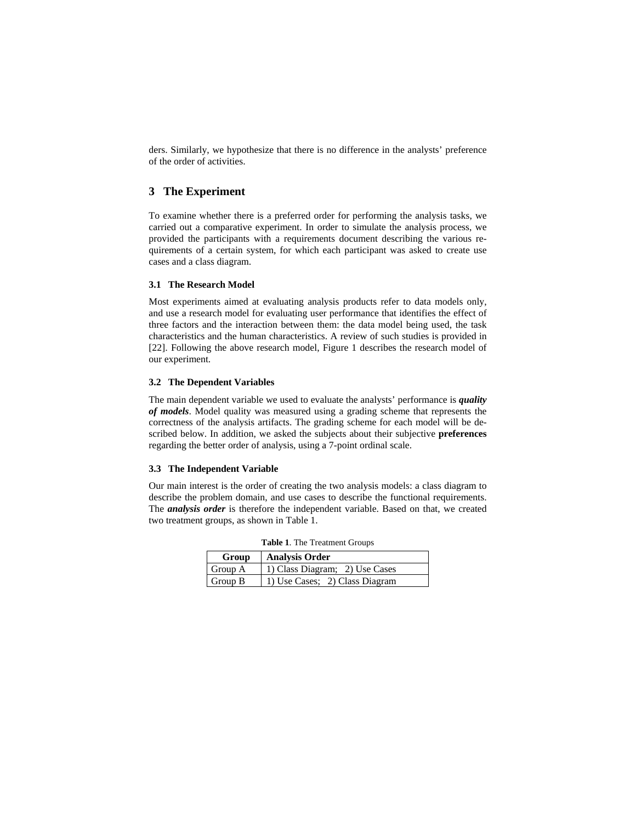ders. Similarly, we hypothesize that there is no difference in the analysts' preference of the order of activities.

## **3 The Experiment**

To examine whether there is a preferred order for performing the analysis tasks, we carried out a comparative experiment. In order to simulate the analysis process, we provided the participants with a requirements document describing the various requirements of a certain system, for which each participant was asked to create use cases and a class diagram.

### **3.1 The Research Model**

Most experiments aimed at evaluating analysis products refer to data models only, and use a research model for evaluating user performance that identifies the effect of three factors and the interaction between them: the data model being used, the task characteristics and the human characteristics. A review of such studies is provided in [22]. Following the above research model, Figure 1 describes the research model of our experiment.

### **3.2 The Dependent Variables**

The main dependent variable we used to evaluate the analysts' performance is *quality of models*. Model quality was measured using a grading scheme that represents the correctness of the analysis artifacts. The grading scheme for each model will be described below. In addition, we asked the subjects about their subjective **preferences** regarding the better order of analysis, using a 7-point ordinal scale.

### **3.3 The Independent Variable**

Our main interest is the order of creating the two analysis models: a class diagram to describe the problem domain, and use cases to describe the functional requirements. The *analysis order* is therefore the independent variable. Based on that, we created two treatment groups, as shown in Table 1.

| Group   | Analysis Order                 |
|---------|--------------------------------|
| Group A | 1) Class Diagram; 2) Use Cases |
| Group B | 1) Use Cases; 2) Class Diagram |

**Table 1**. The Treatment Groups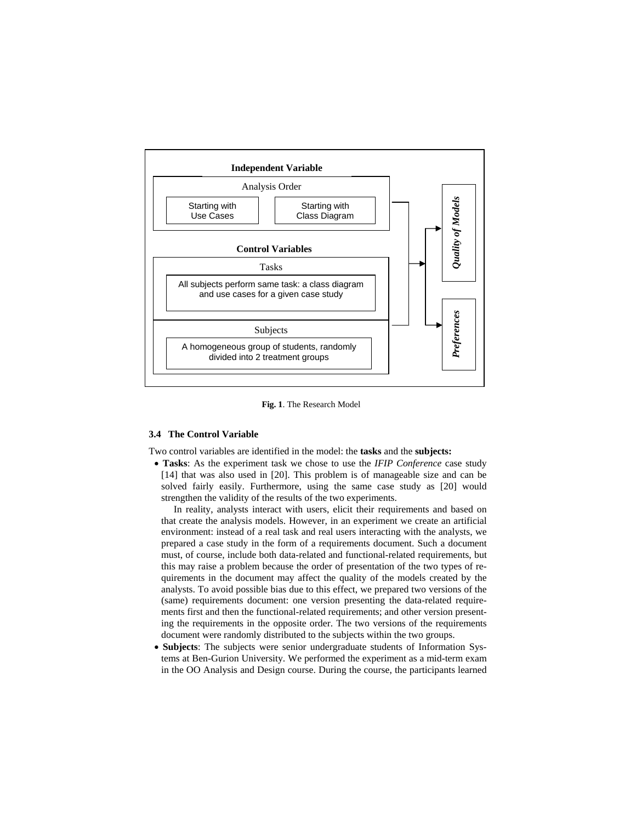

**Fig. 1**. The Research Model

### **3.4 The Control Variable**

Two control variables are identified in the model: the **tasks** and the **subjects:**

• **Tasks**: As the experiment task we chose to use the *IFIP Conference* case study [14] that was also used in [20]. This problem is of manageable size and can be solved fairly easily. Furthermore, using the same case study as [20] would strengthen the validity of the results of the two experiments.

In reality, analysts interact with users, elicit their requirements and based on that create the analysis models. However, in an experiment we create an artificial environment: instead of a real task and real users interacting with the analysts, we prepared a case study in the form of a requirements document. Such a document must, of course, include both data-related and functional-related requirements, but this may raise a problem because the order of presentation of the two types of requirements in the document may affect the quality of the models created by the analysts. To avoid possible bias due to this effect, we prepared two versions of the (same) requirements document: one version presenting the data-related requirements first and then the functional-related requirements; and other version presenting the requirements in the opposite order. The two versions of the requirements document were randomly distributed to the subjects within the two groups.

• **Subjects**: The subjects were senior undergraduate students of Information Systems at Ben-Gurion University. We performed the experiment as a mid-term exam in the OO Analysis and Design course. During the course, the participants learned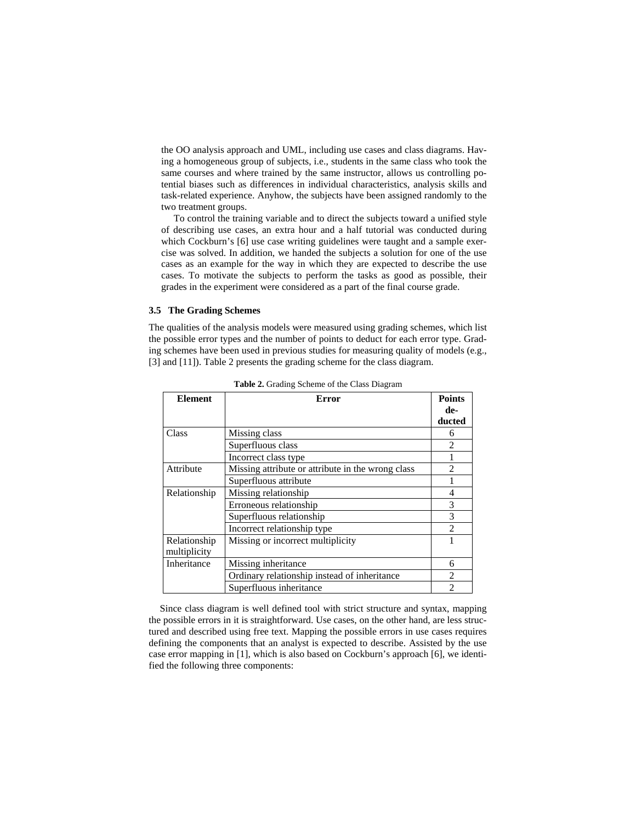the OO analysis approach and UML, including use cases and class diagrams. Having a homogeneous group of subjects, i.e., students in the same class who took the same courses and where trained by the same instructor, allows us controlling potential biases such as differences in individual characteristics, analysis skills and task-related experience. Anyhow, the subjects have been assigned randomly to the two treatment groups.

To control the training variable and to direct the subjects toward a unified style of describing use cases, an extra hour and a half tutorial was conducted during which Cockburn's [6] use case writing guidelines were taught and a sample exercise was solved. In addition, we handed the subjects a solution for one of the use cases as an example for the way in which they are expected to describe the use cases. To motivate the subjects to perform the tasks as good as possible, their grades in the experiment were considered as a part of the final course grade.

#### **3.5 The Grading Schemes**

The qualities of the analysis models were measured using grading schemes, which list the possible error types and the number of points to deduct for each error type. Grading schemes have been used in previous studies for measuring quality of models (e.g., [3] and [11]). Table 2 presents the grading scheme for the class diagram.

| Element      | Error                                             | Points                      |
|--------------|---------------------------------------------------|-----------------------------|
|              |                                                   | de-                         |
|              |                                                   | ducted                      |
| Class        | Missing class                                     | 6                           |
|              | Superfluous class                                 | $\mathcal{D}_{\mathcal{L}}$ |
|              | Incorrect class type                              |                             |
| Attribute    | Missing attribute or attribute in the wrong class | $\mathfrak{D}$              |
|              | Superfluous attribute                             |                             |
| Relationship | Missing relationship                              | 4                           |
|              | Erroneous relationship                            | 3                           |
|              | Superfluous relationship                          | 3                           |
|              | Incorrect relationship type                       | $\mathfrak{D}$              |
| Relationship | Missing or incorrect multiplicity                 |                             |
| multiplicity |                                                   |                             |
| Inheritance  | Missing inheritance                               | 6                           |
|              | Ordinary relationship instead of inheritance      | $\mathfrak{D}$              |
|              | Superfluous inheritance                           | $\mathfrak{D}$              |

**Table 2.** Grading Scheme of the Class Diagram

Since class diagram is well defined tool with strict structure and syntax, mapping the possible errors in it is straightforward. Use cases, on the other hand, are less structured and described using free text. Mapping the possible errors in use cases requires defining the components that an analyst is expected to describe. Assisted by the use case error mapping in [1], which is also based on Cockburn's approach [6], we identified the following three components: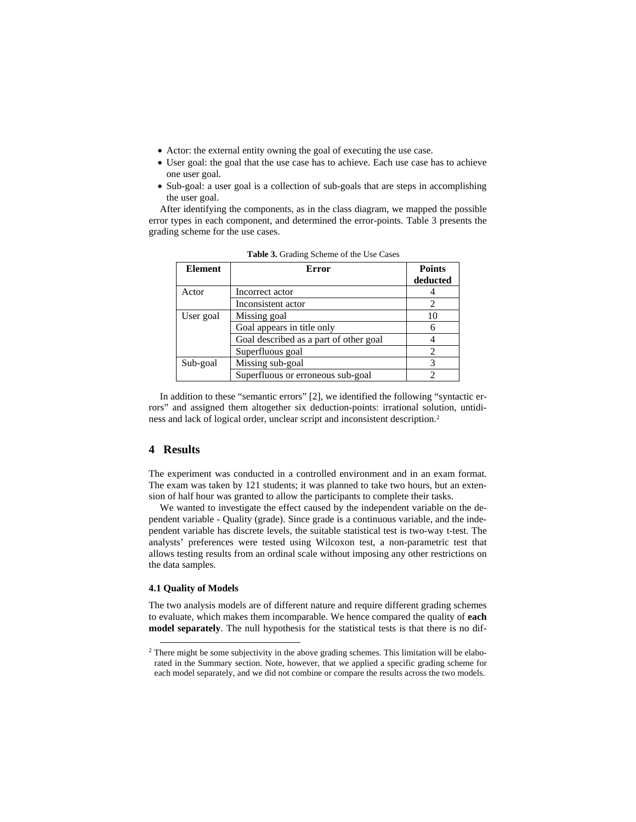- Actor: the external entity owning the goal of executing the use case.
- User goal: the goal that the use case has to achieve. Each use case has to achieve one user goal.
- Sub-goal: a user goal is a collection of sub-goals that are steps in accomplishing the user goal.

After identifying the components, as in the class diagram, we mapped the possible error types in each component, and determined the error-points. Table 3 presents the grading scheme for the use cases.

| <b>Element</b> | <b>Error</b>                           | <b>Points</b><br>deducted |
|----------------|----------------------------------------|---------------------------|
| Actor          | Incorrect actor                        |                           |
|                | Inconsistent actor                     |                           |
| User goal      | Missing goal                           | 10                        |
|                | Goal appears in title only             | 6                         |
|                | Goal described as a part of other goal |                           |
|                | Superfluous goal                       | 2                         |
| Sub-goal       | Missing sub-goal                       |                           |
|                | Superfluous or erroneous sub-goal      |                           |

**Table 3.** Grading Scheme of the Use Cases

In addition to these "semantic errors" [2], we identified the following "syntactic errors" and assigned them altogether six deduction-points: irrational solution, untidiness and lack of logical order, unclear script and inconsistent description.2

### **4 Results**

The experiment was conducted in a controlled environment and in an exam format. The exam was taken by 121 students; it was planned to take two hours, but an extension of half hour was granted to allow the participants to complete their tasks.

We wanted to investigate the effect caused by the independent variable on the dependent variable - Quality (grade). Since grade is a continuous variable, and the independent variable has discrete levels, the suitable statistical test is two-way t-test. The analysts' preferences were tested using Wilcoxon test, a non-parametric test that allows testing results from an ordinal scale without imposing any other restrictions on the data samples.

### **4.1 Quality of Models**

The two analysis models are of different nature and require different grading schemes to evaluate, which makes them incomparable. We hence compared the quality of **each model separately**. The null hypothesis for the statistical tests is that there is no dif-

<sup>&</sup>lt;sup>2</sup> There might be some subjectivity in the above grading schemes. This limitation will be elaborated in the Summary section. Note, however, that we applied a specific grading scheme for each model separately, and we did not combine or compare the results across the two models.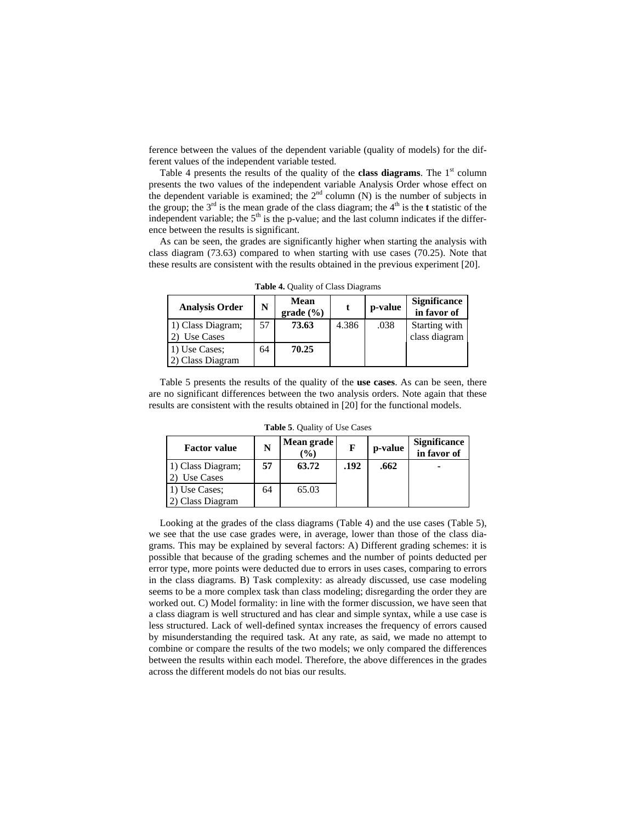ference between the values of the dependent variable (quality of models) for the different values of the independent variable tested.

Table 4 presents the results of the quality of the **class diagrams**. The  $1<sup>st</sup>$  column presents the two values of the independent variable Analysis Order whose effect on the dependent variable is examined; the  $2<sup>nd</sup>$  column (N) is the number of subjects in the group; the  $3<sup>rd</sup>$  is the mean grade of the class diagram; the  $4<sup>th</sup>$  is the **t** statistic of the independent variable; the  $5<sup>th</sup>$  is the p-value; and the last column indicates if the difference between the results is significant.

As can be seen, the grades are significantly higher when starting the analysis with class diagram (73.63) compared to when starting with use cases (70.25). Note that these results are consistent with the results obtained in the previous experiment [20].

| <b>Analysis Order</b>             | N  | <b>Mean</b><br>grade (%) |       | p-value | <b>Significance</b><br>in favor of |
|-----------------------------------|----|--------------------------|-------|---------|------------------------------------|
| 1) Class Diagram;<br>Use Cases    | 57 | 73.63                    | 4.386 | .038    | Starting with<br>class diagram     |
| 1) Use Cases;<br>2) Class Diagram | 64 | 70.25                    |       |         |                                    |

**Table 4.** Quality of Class Diagrams

Table 5 presents the results of the quality of the **use cases**. As can be seen, there are no significant differences between the two analysis orders. Note again that these results are consistent with the results obtained in [20] for the functional models.

| <b>Factor value</b>               |    | Mean grade<br>$(\%)$ | F    | p-value | <b>Significance</b><br>in favor of |  |
|-----------------------------------|----|----------------------|------|---------|------------------------------------|--|
| 1) Class Diagram;<br>Use Cases    | 57 | 63.72                | .192 | .662    |                                    |  |
| 1) Use Cases;<br>2) Class Diagram | 64 | 65.03                |      |         |                                    |  |

**Table 5**. Quality of Use Cases

Looking at the grades of the class diagrams (Table 4) and the use cases (Table 5), we see that the use case grades were, in average, lower than those of the class diagrams. This may be explained by several factors: A) Different grading schemes: it is possible that because of the grading schemes and the number of points deducted per error type, more points were deducted due to errors in uses cases, comparing to errors in the class diagrams. B) Task complexity: as already discussed, use case modeling seems to be a more complex task than class modeling; disregarding the order they are worked out. C) Model formality: in line with the former discussion, we have seen that a class diagram is well structured and has clear and simple syntax, while a use case is less structured. Lack of well-defined syntax increases the frequency of errors caused by misunderstanding the required task. At any rate, as said, we made no attempt to combine or compare the results of the two models; we only compared the differences between the results within each model. Therefore, the above differences in the grades across the different models do not bias our results.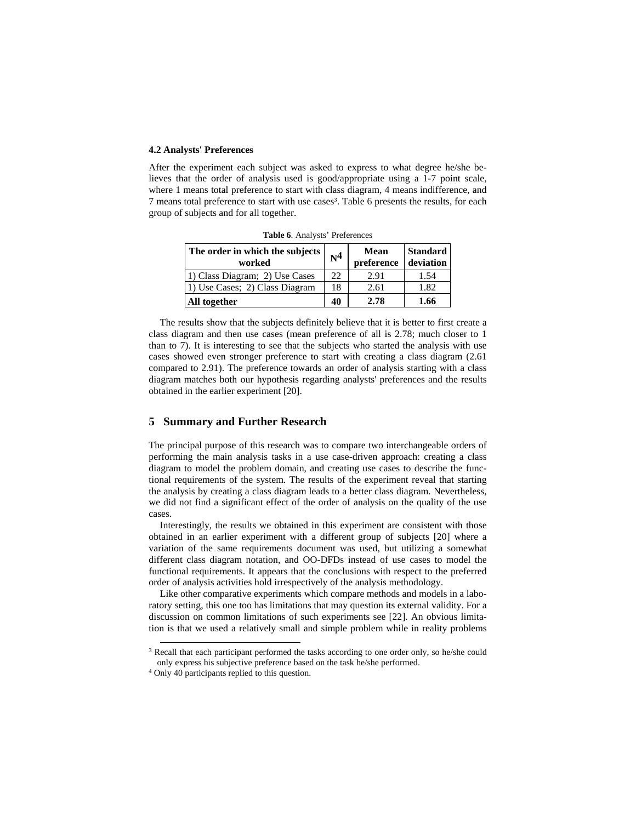#### **4.2 Analysts' Preferences**

After the experiment each subject was asked to express to what degree he/she believes that the order of analysis used is good/appropriate using a 1-7 point scale, where 1 means total preference to start with class diagram, 4 means indifference, and 7 means total preference to start with use cases3. Table 6 presents the results, for each group of subjects and for all together.

| $-$ 0.000 $-$ 0.1 $-$ 0.000 $-$ 0.000 $-$ 0.000 $-$ 0.000 $-$ 0.000 $-$ 0.000 $-$ 0.000 $-$ 0.000 $-$ 0.000 $-$ 0.000 $-$ 0.000 $-$ 0.000 $-$ 0.000 $-$ 0.000 $-$ 0.000 $-$ 0.000 $-$ 0.000 $-$ 0.000 $-$ 0.000 $-$ 0.000 $-$ |                |                           |                              |  |  |
|-------------------------------------------------------------------------------------------------------------------------------------------------------------------------------------------------------------------------------|----------------|---------------------------|------------------------------|--|--|
| The order in which the subjects  <br>worked                                                                                                                                                                                   | N <sup>4</sup> | <b>Mean</b><br>preference | <b>Standard</b><br>deviation |  |  |
| 1) Class Diagram; 2) Use Cases                                                                                                                                                                                                | 22.            | 2.91                      | 1.54                         |  |  |
| 1) Use Cases; 2) Class Diagram                                                                                                                                                                                                | 18             | 2.61                      | 1.82                         |  |  |
| All together                                                                                                                                                                                                                  | 40             | 2.78                      | 1.66                         |  |  |

**Table 6**. Analysts' Preferences

The results show that the subjects definitely believe that it is better to first create a class diagram and then use cases (mean preference of all is 2.78; much closer to 1 than to 7). It is interesting to see that the subjects who started the analysis with use cases showed even stronger preference to start with creating a class diagram (2.61 compared to 2.91). The preference towards an order of analysis starting with a class diagram matches both our hypothesis regarding analysts' preferences and the results obtained in the earlier experiment [20].

### **5 Summary and Further Research**

The principal purpose of this research was to compare two interchangeable orders of performing the main analysis tasks in a use case-driven approach: creating a class diagram to model the problem domain, and creating use cases to describe the functional requirements of the system. The results of the experiment reveal that starting the analysis by creating a class diagram leads to a better class diagram. Nevertheless, we did not find a significant effect of the order of analysis on the quality of the use cases.

Interestingly, the results we obtained in this experiment are consistent with those obtained in an earlier experiment with a different group of subjects [20] where a variation of the same requirements document was used, but utilizing a somewhat different class diagram notation, and OO-DFDs instead of use cases to model the functional requirements. It appears that the conclusions with respect to the preferred order of analysis activities hold irrespectively of the analysis methodology.

Like other comparative experiments which compare methods and models in a laboratory setting, this one too has limitations that may question its external validity. For a discussion on common limitations of such experiments see [22]. An obvious limitation is that we used a relatively small and simple problem while in reality problems

<sup>&</sup>lt;sup>3</sup> Recall that each participant performed the tasks according to one order only, so he/she could only express his subjective preference based on the task he/she performed. 4 Only 40 participants replied to this question.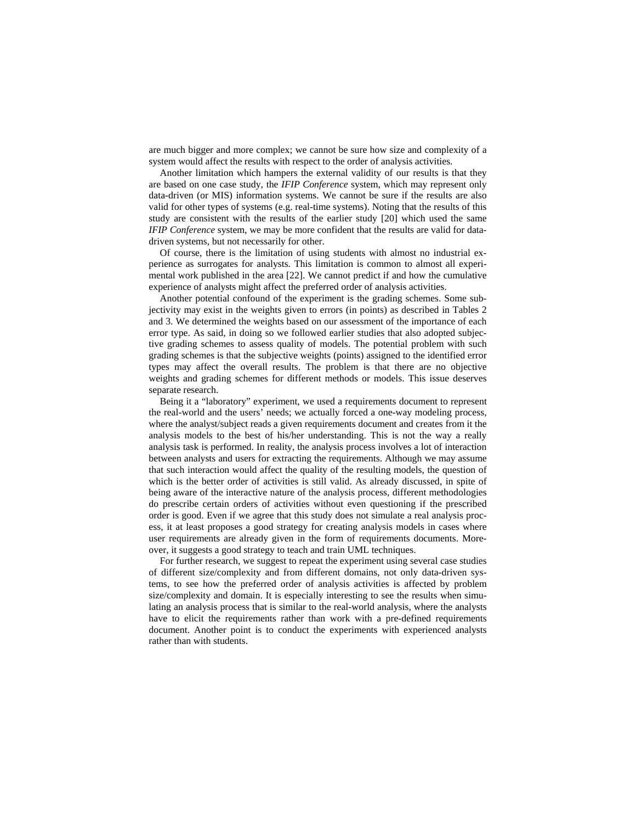are much bigger and more complex; we cannot be sure how size and complexity of a system would affect the results with respect to the order of analysis activities.

Another limitation which hampers the external validity of our results is that they are based on one case study, the *IFIP Conference* system, which may represent only data-driven (or MIS) information systems. We cannot be sure if the results are also valid for other types of systems (e.g. real-time systems). Noting that the results of this study are consistent with the results of the earlier study [20] which used the same *IFIP Conference* system, we may be more confident that the results are valid for datadriven systems, but not necessarily for other.

Of course, there is the limitation of using students with almost no industrial experience as surrogates for analysts. This limitation is common to almost all experimental work published in the area [22]. We cannot predict if and how the cumulative experience of analysts might affect the preferred order of analysis activities.

Another potential confound of the experiment is the grading schemes. Some subjectivity may exist in the weights given to errors (in points) as described in Tables 2 and 3. We determined the weights based on our assessment of the importance of each error type. As said, in doing so we followed earlier studies that also adopted subjective grading schemes to assess quality of models. The potential problem with such grading schemes is that the subjective weights (points) assigned to the identified error types may affect the overall results. The problem is that there are no objective weights and grading schemes for different methods or models. This issue deserves separate research.

Being it a "laboratory" experiment, we used a requirements document to represent the real-world and the users' needs; we actually forced a one-way modeling process, where the analyst/subject reads a given requirements document and creates from it the analysis models to the best of his/her understanding. This is not the way a really analysis task is performed. In reality, the analysis process involves a lot of interaction between analysts and users for extracting the requirements. Although we may assume that such interaction would affect the quality of the resulting models, the question of which is the better order of activities is still valid. As already discussed, in spite of being aware of the interactive nature of the analysis process, different methodologies do prescribe certain orders of activities without even questioning if the prescribed order is good. Even if we agree that this study does not simulate a real analysis process, it at least proposes a good strategy for creating analysis models in cases where user requirements are already given in the form of requirements documents. Moreover, it suggests a good strategy to teach and train UML techniques.

For further research, we suggest to repeat the experiment using several case studies of different size/complexity and from different domains, not only data-driven systems, to see how the preferred order of analysis activities is affected by problem size/complexity and domain. It is especially interesting to see the results when simulating an analysis process that is similar to the real-world analysis, where the analysts have to elicit the requirements rather than work with a pre-defined requirements document. Another point is to conduct the experiments with experienced analysts rather than with students.